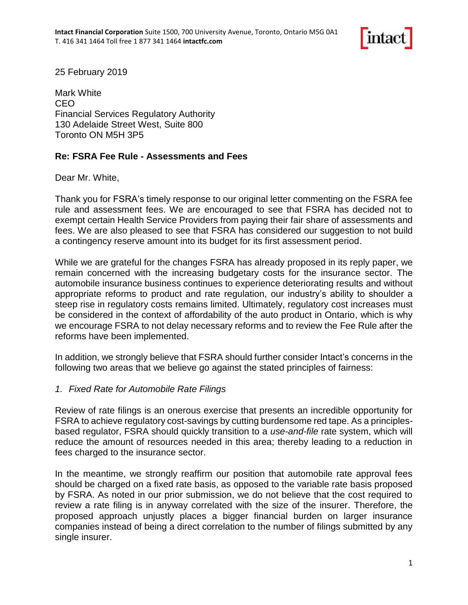

25 February 2019

Mark White CEO Financial Services Regulatory Authority 130 Adelaide Street West, Suite 800 Toronto ON M5H 3P5

## **Re: FSRA Fee Rule - Assessments and Fees**

Dear Mr. White,

Thank you for FSRA's timely response to our original letter commenting on the FSRA fee rule and assessment fees. We are encouraged to see that FSRA has decided not to exempt certain Health Service Providers from paying their fair share of assessments and fees. We are also pleased to see that FSRA has considered our suggestion to not build a contingency reserve amount into its budget for its first assessment period.

While we are grateful for the changes FSRA has already proposed in its reply paper, we remain concerned with the increasing budgetary costs for the insurance sector. The automobile insurance business continues to experience deteriorating results and without appropriate reforms to product and rate regulation, our industry's ability to shoulder a steep rise in regulatory costs remains limited. Ultimately, regulatory cost increases must be considered in the context of affordability of the auto product in Ontario, which is why we encourage FSRA to not delay necessary reforms and to review the Fee Rule after the reforms have been implemented.

In addition, we strongly believe that FSRA should further consider Intact's concerns in the following two areas that we believe go against the stated principles of fairness:

## *1. Fixed Rate for Automobile Rate Filings*

Review of rate filings is an onerous exercise that presents an incredible opportunity for FSRA to achieve regulatory cost-savings by cutting burdensome red tape. As a principlesbased regulator, FSRA should quickly transition to a *use-and-file* rate system, which will reduce the amount of resources needed in this area; thereby leading to a reduction in fees charged to the insurance sector.

In the meantime, we strongly reaffirm our position that automobile rate approval fees should be charged on a fixed rate basis, as opposed to the variable rate basis proposed by FSRA. As noted in our prior submission, we do not believe that the cost required to review a rate filing is in anyway correlated with the size of the insurer. Therefore, the proposed approach unjustly places a bigger financial burden on larger insurance companies instead of being a direct correlation to the number of filings submitted by any single insurer.